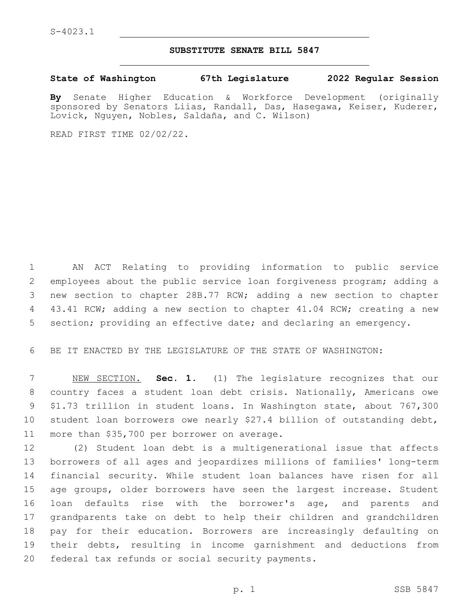## **SUBSTITUTE SENATE BILL 5847**

**State of Washington 67th Legislature 2022 Regular Session**

**By** Senate Higher Education & Workforce Development (originally sponsored by Senators Liias, Randall, Das, Hasegawa, Keiser, Kuderer, Lovick, Nguyen, Nobles, Saldaña, and C. Wilson)

READ FIRST TIME 02/02/22.

 AN ACT Relating to providing information to public service employees about the public service loan forgiveness program; adding a new section to chapter 28B.77 RCW; adding a new section to chapter 43.41 RCW; adding a new section to chapter 41.04 RCW; creating a new section; providing an effective date; and declaring an emergency.

BE IT ENACTED BY THE LEGISLATURE OF THE STATE OF WASHINGTON:

 NEW SECTION. **Sec. 1.** (1) The legislature recognizes that our country faces a student loan debt crisis. Nationally, Americans owe \$1.73 trillion in student loans. In Washington state, about 767,300 student loan borrowers owe nearly \$27.4 billion of outstanding debt, more than \$35,700 per borrower on average.

 (2) Student loan debt is a multigenerational issue that affects borrowers of all ages and jeopardizes millions of families' long-term financial security. While student loan balances have risen for all age groups, older borrowers have seen the largest increase. Student loan defaults rise with the borrower's age, and parents and grandparents take on debt to help their children and grandchildren pay for their education. Borrowers are increasingly defaulting on their debts, resulting in income garnishment and deductions from 20 federal tax refunds or social security payments.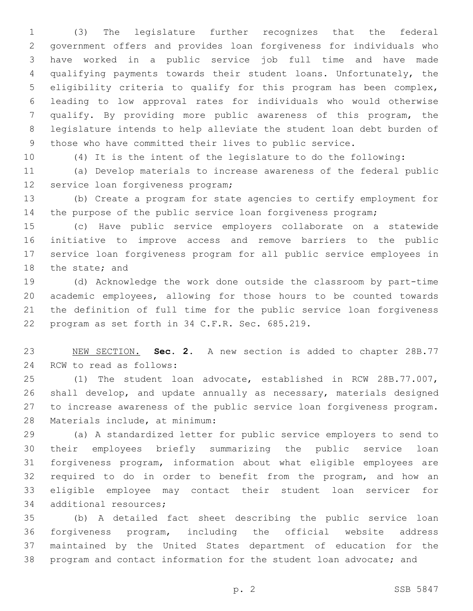(3) The legislature further recognizes that the federal government offers and provides loan forgiveness for individuals who have worked in a public service job full time and have made qualifying payments towards their student loans. Unfortunately, the eligibility criteria to qualify for this program has been complex, leading to low approval rates for individuals who would otherwise qualify. By providing more public awareness of this program, the legislature intends to help alleviate the student loan debt burden of those who have committed their lives to public service.

(4) It is the intent of the legislature to do the following:

 (a) Develop materials to increase awareness of the federal public 12 service loan forgiveness program;

 (b) Create a program for state agencies to certify employment for the purpose of the public service loan forgiveness program;

 (c) Have public service employers collaborate on a statewide initiative to improve access and remove barriers to the public service loan forgiveness program for all public service employees in 18 the state; and

 (d) Acknowledge the work done outside the classroom by part-time academic employees, allowing for those hours to be counted towards the definition of full time for the public service loan forgiveness 22 program as set forth in 34 C.F.R. Sec. 685.219.

 NEW SECTION. **Sec. 2.** A new section is added to chapter 28B.77 24 RCW to read as follows:

 (1) The student loan advocate, established in RCW 28B.77.007, shall develop, and update annually as necessary, materials designed to increase awareness of the public service loan forgiveness program. 28 Materials include, at minimum:

 (a) A standardized letter for public service employers to send to their employees briefly summarizing the public service loan forgiveness program, information about what eligible employees are required to do in order to benefit from the program, and how an eligible employee may contact their student loan servicer for 34 additional resources;

 (b) A detailed fact sheet describing the public service loan forgiveness program, including the official website address maintained by the United States department of education for the program and contact information for the student loan advocate; and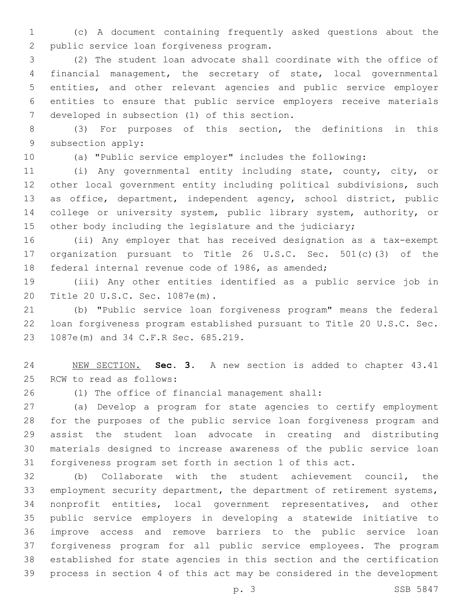(c) A document containing frequently asked questions about the 2 public service loan forgiveness program.

 (2) The student loan advocate shall coordinate with the office of financial management, the secretary of state, local governmental entities, and other relevant agencies and public service employer entities to ensure that public service employers receive materials 7 developed in subsection (1) of this section.

 (3) For purposes of this section, the definitions in this 9 subsection apply:

(a) "Public service employer" includes the following:

 (i) Any governmental entity including state, county, city, or other local government entity including political subdivisions, such as office, department, independent agency, school district, public 14 college or university system, public library system, authority, or other body including the legislature and the judiciary;

 (ii) Any employer that has received designation as a tax-exempt organization pursuant to Title 26 U.S.C. Sec. 501(c)(3) of the federal internal revenue code of 1986, as amended;

 (iii) Any other entities identified as a public service job in 20 Title 20 U.S.C. Sec. 1087e(m).

 (b) "Public service loan forgiveness program" means the federal loan forgiveness program established pursuant to Title 20 U.S.C. Sec. 23 1087e(m) and 34 C.F.R Sec. 685.219.

 NEW SECTION. **Sec. 3.** A new section is added to chapter 43.41 25 RCW to read as follows:

(1) The office of financial management shall:26

 (a) Develop a program for state agencies to certify employment for the purposes of the public service loan forgiveness program and assist the student loan advocate in creating and distributing materials designed to increase awareness of the public service loan forgiveness program set forth in section 1 of this act.

 (b) Collaborate with the student achievement council, the employment security department, the department of retirement systems, nonprofit entities, local government representatives, and other public service employers in developing a statewide initiative to improve access and remove barriers to the public service loan forgiveness program for all public service employees. The program established for state agencies in this section and the certification process in section 4 of this act may be considered in the development

p. 3 SSB 5847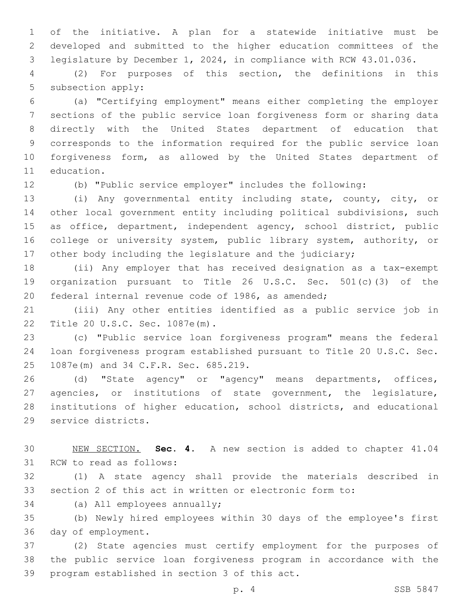of the initiative. A plan for a statewide initiative must be developed and submitted to the higher education committees of the legislature by December 1, 2024, in compliance with RCW 43.01.036.

 (2) For purposes of this section, the definitions in this 5 subsection apply:

 (a) "Certifying employment" means either completing the employer sections of the public service loan forgiveness form or sharing data directly with the United States department of education that corresponds to the information required for the public service loan forgiveness form, as allowed by the United States department of 11 education.

(b) "Public service employer" includes the following:

 (i) Any governmental entity including state, county, city, or other local government entity including political subdivisions, such as office, department, independent agency, school district, public college or university system, public library system, authority, or 17 other body including the legislature and the judiciary;

 (ii) Any employer that has received designation as a tax-exempt organization pursuant to Title 26 U.S.C. Sec. 501(c)(3) of the federal internal revenue code of 1986, as amended;

 (iii) Any other entities identified as a public service job in 22 Title 20 U.S.C. Sec. 1087e(m).

 (c) "Public service loan forgiveness program" means the federal loan forgiveness program established pursuant to Title 20 U.S.C. Sec. 25 1087e(m) and 34 C.F.R. Sec. 685.219.

 (d) "State agency" or "agency" means departments, offices, agencies, or institutions of state government, the legislature, institutions of higher education, school districts, and educational 29 service districts.

 NEW SECTION. **Sec. 4.** A new section is added to chapter 41.04 31 RCW to read as follows:

 (1) A state agency shall provide the materials described in section 2 of this act in written or electronic form to:

34 (a) All employees annually;

 (b) Newly hired employees within 30 days of the employee's first 36 day of employment.

 (2) State agencies must certify employment for the purposes of the public service loan forgiveness program in accordance with the 39 program established in section 3 of this act.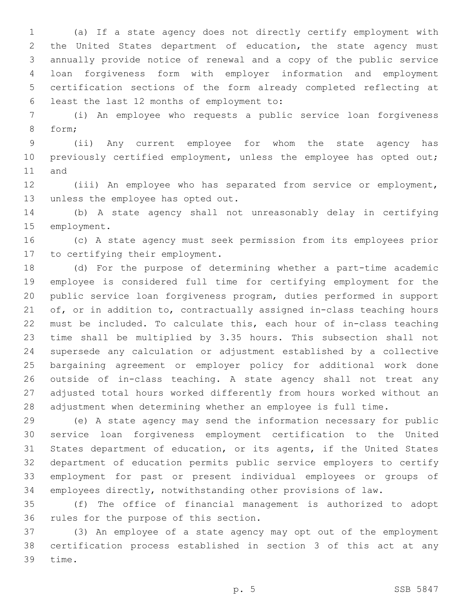(a) If a state agency does not directly certify employment with the United States department of education, the state agency must annually provide notice of renewal and a copy of the public service loan forgiveness form with employer information and employment certification sections of the form already completed reflecting at least the last 12 months of employment to:6

 (i) An employee who requests a public service loan forgiveness 8 form;

 (ii) Any current employee for whom the state agency has 10 previously certified employment, unless the employee has opted out; 11 and

 (iii) An employee who has separated from service or employment, 13 unless the employee has opted out.

 (b) A state agency shall not unreasonably delay in certifying 15 employment.

 (c) A state agency must seek permission from its employees prior 17 to certifying their employment.

 (d) For the purpose of determining whether a part-time academic employee is considered full time for certifying employment for the public service loan forgiveness program, duties performed in support of, or in addition to, contractually assigned in-class teaching hours must be included. To calculate this, each hour of in-class teaching time shall be multiplied by 3.35 hours. This subsection shall not supersede any calculation or adjustment established by a collective bargaining agreement or employer policy for additional work done outside of in-class teaching. A state agency shall not treat any adjusted total hours worked differently from hours worked without an adjustment when determining whether an employee is full time.

 (e) A state agency may send the information necessary for public service loan forgiveness employment certification to the United States department of education, or its agents, if the United States department of education permits public service employers to certify employment for past or present individual employees or groups of employees directly, notwithstanding other provisions of law.

 (f) The office of financial management is authorized to adopt 36 rules for the purpose of this section.

 (3) An employee of a state agency may opt out of the employment certification process established in section 3 of this act at any 39 time.

p. 5 SSB 5847